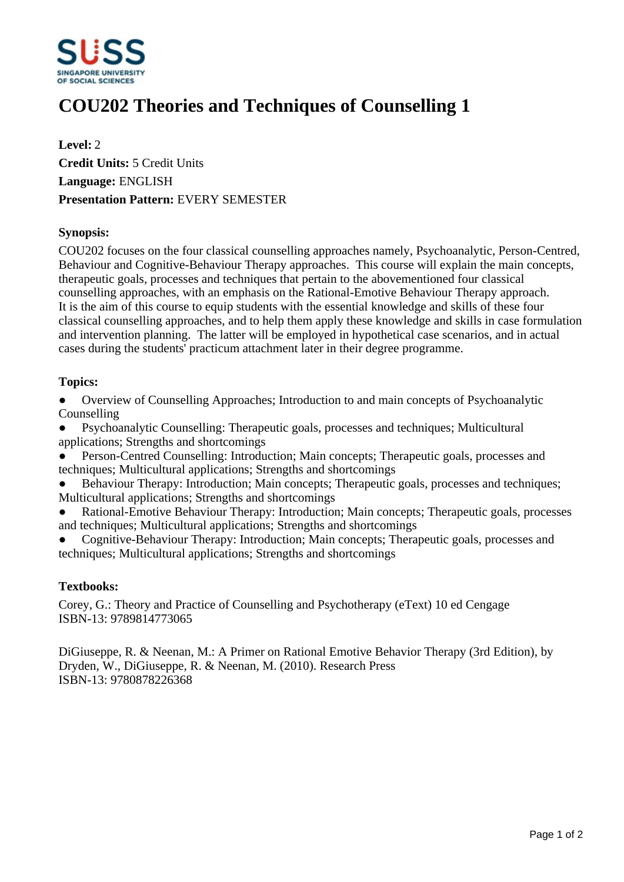

# **COU202 Theories and Techniques of Counselling 1**

**Level:** 2 **Credit Units:** 5 Credit Units **Language:** ENGLISH **Presentation Pattern:** EVERY SEMESTER

# **Synopsis:**

COU202 focuses on the four classical counselling approaches namely, Psychoanalytic, Person-Centred, Behaviour and Cognitive-Behaviour Therapy approaches. This course will explain the main concepts, therapeutic goals, processes and techniques that pertain to the abovementioned four classical counselling approaches, with an emphasis on the Rational-Emotive Behaviour Therapy approach. It is the aim of this course to equip students with the essential knowledge and skills of these four classical counselling approaches, and to help them apply these knowledge and skills in case formulation and intervention planning. The latter will be employed in hypothetical case scenarios, and in actual cases during the students' practicum attachment later in their degree programme.

# **Topics:**

• Overview of Counselling Approaches: Introduction to and main concepts of Psychoanalytic Counselling

ƔPsychoanalytic Counselling: Therapeutic goals, processes and techniques; Multicultural applications; Strengths and shortcomings

Person-Centred Counselling: Introduction; Main concepts; Therapeutic goals, processes and techniques; Multicultural applications; Strengths and shortcomings

Behaviour Therapy: Introduction; Main concepts; Therapeutic goals, processes and techniques; Multicultural applications; Strengths and shortcomings

Rational-Emotive Behaviour Therapy: Introduction; Main concepts; Therapeutic goals, processes and techniques; Multicultural applications; Strengths and shortcomings

ƔCognitive-Behaviour Therapy: Introduction; Main concepts; Therapeutic goals, processes and techniques; Multicultural applications; Strengths and shortcomings

#### **Textbooks:**

Corey, G.: Theory and Practice of Counselling and Psychotherapy (eText) 10 ed Cengage ISBN-13: 9789814773065

DiGiuseppe, R. & Neenan, M.: A Primer on Rational Emotive Behavior Therapy (3rd Edition), by Dryden, W., DiGiuseppe, R. & Neenan, M. (2010). Research Press ISBN-13: 9780878226368